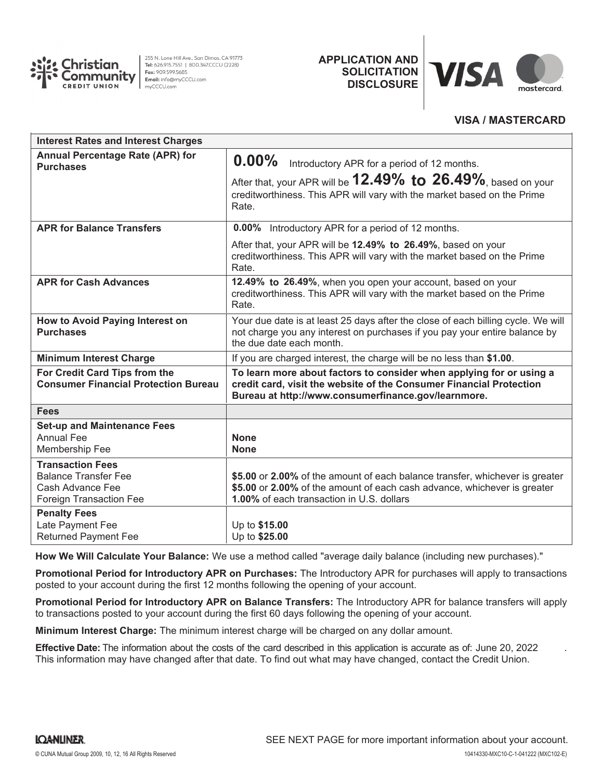

255 N. Lone Hill Ave., San Dimas, CA 91773 Tel: 626.915.7551 | 800.347.CCCU (2228) Fax: 909.599.5685 Email: info@myCCCU.com mvCCCU.com

**APPLICATION AND SOLICITATION DISCLOSURE**



## **VISA / MASTERCARD**

| <b>Interest Rates and Interest Charges</b>                                                            |                                                                                                                                                                                                       |
|-------------------------------------------------------------------------------------------------------|-------------------------------------------------------------------------------------------------------------------------------------------------------------------------------------------------------|
| <b>Annual Percentage Rate (APR) for</b><br><b>Purchases</b>                                           | $0.00\%$<br>Introductory APR for a period of 12 months.                                                                                                                                               |
|                                                                                                       | After that, your APR will be $12.49\%$ to $26.49\%$ , based on your<br>creditworthiness. This APR will vary with the market based on the Prime<br>Rate.                                               |
| <b>APR for Balance Transfers</b>                                                                      | 0.00% Introductory APR for a period of 12 months.                                                                                                                                                     |
|                                                                                                       | After that, your APR will be 12.49% to 26.49%, based on your<br>creditworthiness. This APR will vary with the market based on the Prime<br>Rate.                                                      |
| <b>APR for Cash Advances</b>                                                                          | 12.49% to 26.49%, when you open your account, based on your<br>creditworthiness. This APR will vary with the market based on the Prime<br>Rate.                                                       |
| How to Avoid Paying Interest on<br><b>Purchases</b>                                                   | Your due date is at least 25 days after the close of each billing cycle. We will<br>not charge you any interest on purchases if you pay your entire balance by<br>the due date each month.            |
| <b>Minimum Interest Charge</b>                                                                        | If you are charged interest, the charge will be no less than \$1.00.                                                                                                                                  |
| For Credit Card Tips from the<br><b>Consumer Financial Protection Bureau</b>                          | To learn more about factors to consider when applying for or using a<br>credit card, visit the website of the Consumer Financial Protection<br>Bureau at http://www.consumerfinance.gov/learnmore.    |
| <b>Fees</b>                                                                                           |                                                                                                                                                                                                       |
| <b>Set-up and Maintenance Fees</b><br><b>Annual Fee</b><br>Membership Fee                             | <b>None</b><br><b>None</b>                                                                                                                                                                            |
| <b>Transaction Fees</b><br><b>Balance Transfer Fee</b><br>Cash Advance Fee<br>Foreign Transaction Fee | \$5.00 or 2.00% of the amount of each balance transfer, whichever is greater<br>\$5.00 or 2.00% of the amount of each cash advance, whichever is greater<br>1.00% of each transaction in U.S. dollars |
| <b>Penalty Fees</b><br>Late Payment Fee<br><b>Returned Payment Fee</b>                                | Up to \$15.00<br>Up to \$25.00                                                                                                                                                                        |

**How We Will Calculate Your Balance:** We use a method called "average daily balance (including new purchases)."

**Promotional Period for Introductory APR on Purchases:** The Introductory APR for purchases will apply to transactions posted to your account during the first 12 months following the opening of your account.

**Promotional Period for Introductory APR on Balance Transfers:** The Introductory APR for balance transfers will apply to transactions posted to your account during the first 60 days following the opening of your account.

**Minimum Interest Charge:** The minimum interest charge will be charged on any dollar amount.

**Effective Date:** The information about the costs of the card described in this application is accurate as of: June 20, 2022 . This information may have changed after that date. To find out what may have changed, contact the Credit Union.